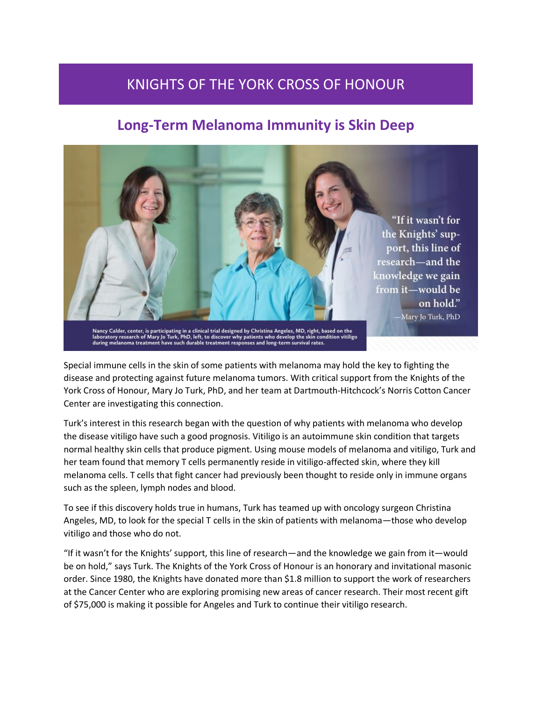## KNIGHTS OF THE YORK CROSS OF HONOUR

## **Long-Term Melanoma Immunity is Skin Deep**

"If it wasn't for the Knights' support, this line of research—and the knowledge we gain from it-would be

> on hold." -Mary Jo Turk, PhD

Nancy Calder, center, is participating in a clinical trial designed by Christina Angeles, MD, right, based on the<br>laboratory research of Mary Jo Turk, PhD, left, to discover why patients who develop the skin condition viti

Special immune cells in the skin of some patients with melanoma may hold the key to fighting the disease and protecting against future melanoma tumors. With critical support from the Knights of the York Cross of Honour, Mary Jo Turk, PhD, and her team at Dartmouth-Hitchcock's Norris Cotton Cancer Center are investigating this connection.

Turk's interest in this research began with the question of why patients with melanoma who develop the disease vitiligo have such a good prognosis. Vitiligo is an autoimmune skin condition that targets normal healthy skin cells that produce pigment. Using mouse models of melanoma and vitiligo, Turk and her team found that memory T cells permanently reside in vitiligo-affected skin, where they kill melanoma cells. T cells that fight cancer had previously been thought to reside only in immune organs such as the spleen, lymph nodes and blood.

To see if this discovery holds true in humans, Turk has teamed up with oncology surgeon Christina Angeles, MD, to look for the special T cells in the skin of patients with melanoma—those who develop vitiligo and those who do not.

"If it wasn't for the Knights' support, this line of research—and the knowledge we gain from it—would be on hold," says Turk. The Knights of the York Cross of Honour is an honorary and invitational masonic order. Since 1980, the Knights have donated more than \$1.8 million to support the work of researchers at the Cancer Center who are exploring promising new areas of cancer research. Their most recent gift of \$75,000 is making it possible for Angeles and Turk to continue their vitiligo research.